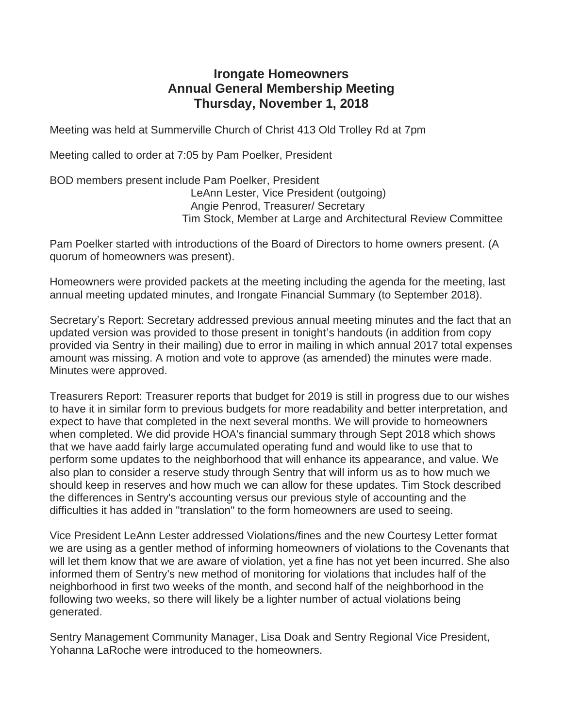## **Irongate Homeowners Annual General Membership Meeting Thursday, November 1, 2018**

Meeting was held at Summerville Church of Christ 413 Old Trolley Rd at 7pm

Meeting called to order at 7:05 by Pam Poelker, President

BOD members present include Pam Poelker, President LeAnn Lester, Vice President (outgoing) Angie Penrod, Treasurer/ Secretary Tim Stock, Member at Large and Architectural Review Committee

Pam Poelker started with introductions of the Board of Directors to home owners present. (A quorum of homeowners was present).

Homeowners were provided packets at the meeting including the agenda for the meeting, last annual meeting updated minutes, and Irongate Financial Summary (to September 2018).

Secretary's Report: Secretary addressed previous annual meeting minutes and the fact that an updated version was provided to those present in tonight's handouts (in addition from copy provided via Sentry in their mailing) due to error in mailing in which annual 2017 total expenses amount was missing. A motion and vote to approve (as amended) the minutes were made. Minutes were approved.

Treasurers Report: Treasurer reports that budget for 2019 is still in progress due to our wishes to have it in similar form to previous budgets for more readability and better interpretation, and expect to have that completed in the next several months. We will provide to homeowners when completed. We did provide HOA's financial summary through Sept 2018 which shows that we have aadd fairly large accumulated operating fund and would like to use that to perform some updates to the neighborhood that will enhance its appearance, and value. We also plan to consider a reserve study through Sentry that will inform us as to how much we should keep in reserves and how much we can allow for these updates. Tim Stock described the differences in Sentry's accounting versus our previous style of accounting and the difficulties it has added in "translation" to the form homeowners are used to seeing.

Vice President LeAnn Lester addressed Violations/fines and the new Courtesy Letter format we are using as a gentler method of informing homeowners of violations to the Covenants that will let them know that we are aware of violation, yet a fine has not yet been incurred. She also informed them of Sentry's new method of monitoring for violations that includes half of the neighborhood in first two weeks of the month, and second half of the neighborhood in the following two weeks, so there will likely be a lighter number of actual violations being generated.

Sentry Management Community Manager, Lisa Doak and Sentry Regional Vice President, Yohanna LaRoche were introduced to the homeowners.